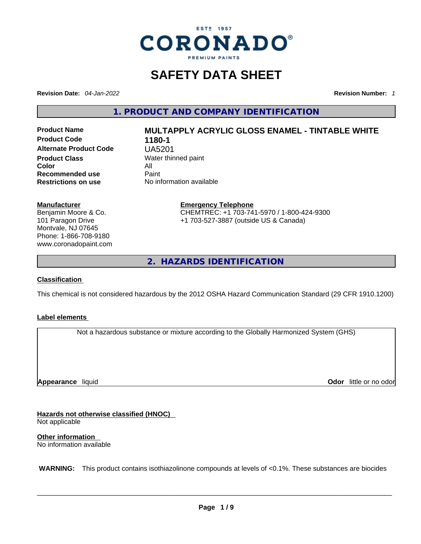

# **SAFETY DATA SHEET**

**Revision Date:** *04-Jan-2022* **Revision Number:** *1*

**1. PRODUCT AND COMPANY IDENTIFICATION** 

**Product Code 1180-1 Alternate Product Code** UA5201 **Product Class Water thinned paint**<br> **Color Color** All **Recommended use Paint Restrictions on use** No information available

# **Product Name MULTAPPLY ACRYLIC GLOSS ENAMEL - TINTABLE WHITE**

#### **Manufacturer**

Benjamin Moore & Co. 101 Paragon Drive Montvale, NJ 07645 Phone: 1-866-708-9180 www.coronadopaint.com

# **Emergency Telephone** CHEMTREC: +1 703-741-5970 / 1-800-424-9300

+1 703-527-3887 (outside US & Canada)

**2. HAZARDS IDENTIFICATION** 

#### **Classification**

This chemical is not considered hazardous by the 2012 OSHA Hazard Communication Standard (29 CFR 1910.1200)

#### **Label elements**

Not a hazardous substance or mixture according to the Globally Harmonized System (GHS)

**Appearance** liquid

**Odor** little or no odor

**Hazards not otherwise classified (HNOC)**  Not applicable

**Other information**  No information available

 **WARNING:** This product contains isothiazolinone compounds at levels of <0.1%. These substances are biocides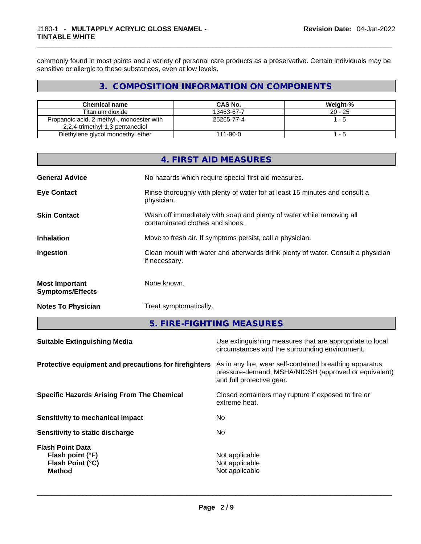commonly found in most paints and a variety of personal care products as a preservative. Certain individuals may be sensitive or allergic to these substances, even at low levels.

# **3. COMPOSITION INFORMATION ON COMPONENTS**

| <b>Chemical name</b>                      | CAS No.    | Weight-%  |
|-------------------------------------------|------------|-----------|
| Titanium dioxide                          | 13463-67-7 | $20 - 25$ |
| Propanoic acid, 2-methyl-, monoester with | 25265-77-4 | 1 - 5     |
| 2,2,4-trimethyl-1,3-pentanediol           |            |           |
| Diethylene glycol monoethyl ether         | 111-90-0   | - 5       |

| 4. FIRST AID MEASURES                                                                                                           |
|---------------------------------------------------------------------------------------------------------------------------------|
| No hazards which require special first aid measures.<br><b>General Advice</b>                                                   |
| Rinse thoroughly with plenty of water for at least 15 minutes and consult a<br><b>Eye Contact</b><br>physician.                 |
| <b>Skin Contact</b><br>Wash off immediately with soap and plenty of water while removing all<br>contaminated clothes and shoes. |
| Move to fresh air. If symptoms persist, call a physician.<br><b>Inhalation</b>                                                  |
| Clean mouth with water and afterwards drink plenty of water. Consult a physician<br>Ingestion<br>if necessary.                  |
| None known.<br><b>Most Important</b><br><b>Symptoms/Effects</b>                                                                 |
| <b>Notes To Physician</b><br>Treat symptomatically.                                                                             |

**5. FIRE-FIGHTING MEASURES** 

| Use extinguishing measures that are appropriate to local<br>circumstances and the surrounding environment.                                   |
|----------------------------------------------------------------------------------------------------------------------------------------------|
| As in any fire, wear self-contained breathing apparatus<br>pressure-demand, MSHA/NIOSH (approved or equivalent)<br>and full protective gear. |
| Closed containers may rupture if exposed to fire or<br>extreme heat.                                                                         |
| No.                                                                                                                                          |
| No.                                                                                                                                          |
| Not applicable<br>Not applicable<br>Not applicable                                                                                           |
|                                                                                                                                              |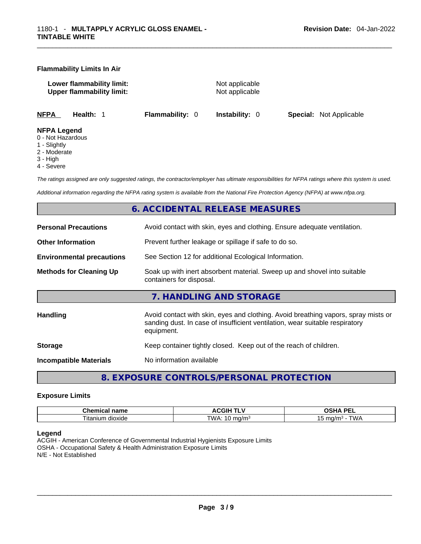#### **Flammability Limits In Air**

**Lower flammability limit:** Not applicable **Upper flammability limit:** Not applicable

**NFPA Health:** 1 **Flammability:** 0 **Instability:** 0 **Special:** Not Applicable

#### **NFPA Legend**

- 0 Not Hazardous
- 1 Slightly
- 2 Moderate
- 3 High
- 4 Severe

*The ratings assigned are only suggested ratings, the contractor/employer has ultimate responsibilities for NFPA ratings where this system is used.* 

*Additional information regarding the NFPA rating system is available from the National Fire Protection Agency (NFPA) at www.nfpa.org.* 

#### **6. ACCIDENTAL RELEASE MEASURES**

| <b>Personal Precautions</b>      | Avoid contact with skin, eyes and clothing. Ensure adequate ventilation.                                                                                                         |
|----------------------------------|----------------------------------------------------------------------------------------------------------------------------------------------------------------------------------|
| <b>Other Information</b>         | Prevent further leakage or spillage if safe to do so.                                                                                                                            |
| <b>Environmental precautions</b> | See Section 12 for additional Ecological Information.                                                                                                                            |
| <b>Methods for Cleaning Up</b>   | Soak up with inert absorbent material. Sweep up and shovel into suitable<br>containers for disposal.                                                                             |
|                                  | 7. HANDLING AND STORAGE                                                                                                                                                          |
|                                  |                                                                                                                                                                                  |
| Handling                         | Avoid contact with skin, eyes and clothing. Avoid breathing vapors, spray mists or<br>sanding dust. In case of insufficient ventilation, wear suitable respiratory<br>equipment. |
| <b>Storage</b>                   | Keep container tightly closed. Keep out of the reach of children.                                                                                                                |

**8. EXPOSURE CONTROLS/PERSONAL PROTECTION** 

#### **Exposure Limits**

| <b>Chemical name</b> | <b>ACGIH TLV</b><br>. . | <b>DEI</b><br>$\sim$ $\sim$ $\sim$<br>ın<br><u>эп, </u><br>-- |
|----------------------|-------------------------|---------------------------------------------------------------|
| dioxide<br>⊣tanıum   | ™∆<br>na/m<br>. .       | T111<br>ma/m<br>.<br>ں ا<br><b>v</b> v                        |

#### **Legend**

ACGIH - American Conference of Governmental Industrial Hygienists Exposure Limits OSHA - Occupational Safety & Health Administration Exposure Limits N/E - Not Established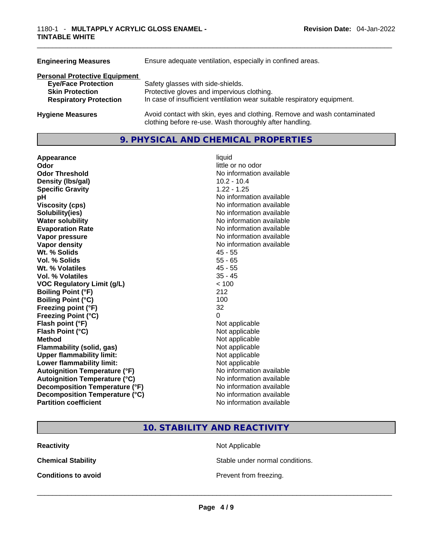| <b>Engineering Measures</b>          | Ensure adequate ventilation, especially in confined areas.                                                                          |
|--------------------------------------|-------------------------------------------------------------------------------------------------------------------------------------|
| <b>Personal Protective Equipment</b> |                                                                                                                                     |
| <b>Eye/Face Protection</b>           | Safety glasses with side-shields.                                                                                                   |
| <b>Skin Protection</b>               | Protective gloves and impervious clothing.                                                                                          |
| <b>Respiratory Protection</b>        | In case of insufficient ventilation wear suitable respiratory equipment.                                                            |
| <b>Hygiene Measures</b>              | Avoid contact with skin, eyes and clothing. Remove and wash contaminated<br>clothing before re-use. Wash thoroughly after handling. |

# **9. PHYSICAL AND CHEMICAL PROPERTIES**

**Appearance** liquid **Odor Odor Odor Odor Odor** *little or no odor little or no odor* **Odor Threshold**<br> **Density (Ibs/gal)**<br> **Density (Ibs/gal)**<br> **No information available**<br>
10.2 - 10.4 **Density (lbs/gal)** 10.2 - 10.4<br> **Specific Gravity** 1.22 - 1.25 **Specific Gravity pH pH No** information available **Viscosity (cps) Viscosity (cps) No information available Solubility(ies)** No information available **Water solubility Water solubility Water solubility No information available Evaporation Rate No information available No information available Vapor pressure No information available No information available Vapor density No information available No information available Wt. % Solids** 45 - 55 **Vol. % Solids** 55 - 65 **Wt. % Volatiles** 45 - 55 **Vol. % Volatiles VOC Regulatory Limit (g/L)** < 100 **Boiling Point (°F)** 212 **Boiling Point (°C)** 100<br> **Preezing point (°F)** 32 **Freezing point (°F) Freezing Point (°C)** 0 **Flash point (°F)** Not applicable **Flash Point (°C)** Not applicable **Method** Not applicable **Flammability (solid, gas)**<br> **Upper flammability limit:**<br>
Upper flammability limit:<br>  $\begin{array}{ccc}\n\bullet & \bullet & \bullet \\
\bullet & \bullet & \bullet\n\end{array}$ **Upper flammability limit:**<br> **Lower flammability limit:**<br>
Not applicable<br>
Not applicable **Lower flammability limit:**<br> **Autoignition Temperature (°F)** Not applicable havailable **Autoignition Temperature (°F) Autoignition Temperature (°C)** No information available **Decomposition Temperature (°F)** No information available **Decomposition Temperature (°C)** No information available **Partition coefficient Contract Contract Contract Contract Contract Contract Contract Contract Contract Contract Contract Contract Contract Contract Contract Contract Contract Contract Contract Contract Contract Contract** 

# **10. STABILITY AND REACTIVITY**

**Reactivity Not Applicable Not Applicable** 

**Conditions to avoid**<br> **Conditions to** avoid<br> **Example 2 Example 2 Conditions to avoid Prevent from freezing.** 

**Chemical Stability Chemical Stability** Stable under normal conditions.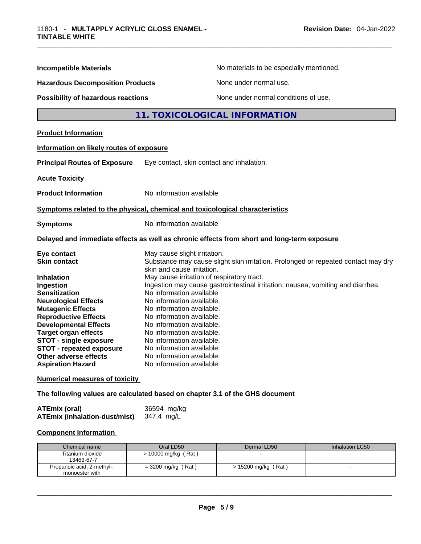| <b>Incompatible Materials</b>             | No materials to be especially mentioned.                                                   |
|-------------------------------------------|--------------------------------------------------------------------------------------------|
| <b>Hazardous Decomposition Products</b>   | None under normal use.                                                                     |
| <b>Possibility of hazardous reactions</b> | None under normal conditions of use.                                                       |
|                                           | 11. TOXICOLOGICAL INFORMATION                                                              |
| <b>Product Information</b>                |                                                                                            |
| Information on likely routes of exposure  |                                                                                            |
| <b>Principal Routes of Exposure</b>       | Eye contact, skin contact and inhalation.                                                  |
| <b>Acute Toxicity</b>                     |                                                                                            |
| <b>Product Information</b>                | No information available                                                                   |
|                                           | Symptoms related to the physical, chemical and toxicological characteristics               |
| <b>Symptoms</b>                           | No information available                                                                   |
|                                           | Delayed and immediate effects as well as chronic effects from short and long-term exposure |
| Eye contact                               | May cause slight irritation.                                                               |
| <b>Skin contact</b>                       | Substance may cause slight skin irritation. Prolonged or repeated contact may dry          |
| <b>Inhalation</b>                         | skin and cause irritation.<br>May cause irritation of respiratory tract.                   |
| Ingestion                                 | Ingestion may cause gastrointestinal irritation, nausea, vomiting and diarrhea.            |
| <b>Sensitization</b>                      | No information available                                                                   |
| <b>Neurological Effects</b>               | No information available.                                                                  |
| <b>Mutagenic Effects</b>                  | No information available.                                                                  |
| <b>Reproductive Effects</b>               | No information available.                                                                  |
| <b>Developmental Effects</b>              | No information available.                                                                  |
| <b>Target organ effects</b>               | No information available.                                                                  |
| <b>STOT - single exposure</b>             | No information available.                                                                  |
| <b>STOT - repeated exposure</b>           | No information available.                                                                  |
| Other adverse effects                     | No information available.                                                                  |
| <b>Aspiration Hazard</b>                  | No information available                                                                   |
| <b>Numerical measures of toxicity</b>     |                                                                                            |

**The following values are calculated based on chapter 3.1 of the GHS document**

| <b>ATEmix (oral)</b>                 | 36594 mg/kg |
|--------------------------------------|-------------|
| <b>ATEmix (inhalation-dust/mist)</b> | 347.4 mg/L  |

# **Component Information**

| Chemical name                                | Oral LD50             | Dermal LD50         | Inhalation LC50 |
|----------------------------------------------|-----------------------|---------------------|-----------------|
| Titanium dioxide<br>13463-67-7               | $> 10000$ mg/kg (Rat) |                     |                 |
| Propanoic acid, 2-methyl-,<br>monoester with | $=$ 3200 mg/kg (Rat)  | > 15200 mg/kg (Rat) |                 |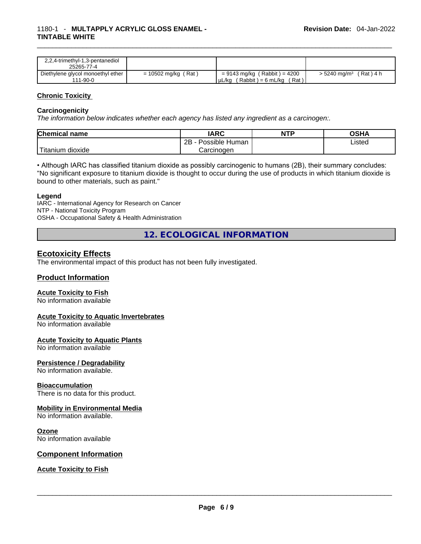# \_\_\_\_\_\_\_\_\_\_\_\_\_\_\_\_\_\_\_\_\_\_\_\_\_\_\_\_\_\_\_\_\_\_\_\_\_\_\_\_\_\_\_\_\_\_\_\_\_\_\_\_\_\_\_\_\_\_\_\_\_\_\_\_\_\_\_\_\_\_\_\_\_\_\_\_\_\_\_\_\_\_\_\_\_\_\_\_\_\_\_\_\_ 1180-1 - **MULTAPPLY ACRYLIC GLOSS ENAMEL - TINTABLE WHITE**

| 2,2,4-trimethyl-1,3-pentanediol   |                       |                                        |                                    |
|-----------------------------------|-----------------------|----------------------------------------|------------------------------------|
| 25265-77-4                        |                       |                                        |                                    |
| Diethylene glycol monoethyl ether | $= 10502$ mg/kg (Rat) | $= 9143$ mg/kg (Rabbit) = 4200         | > 5240 mg/m <sup>3</sup> (Rat) 4 h |
| 111-90-0                          |                       | $(Rabbit) = 6 mL/kg$<br>(Rat)<br>µL/kg |                                    |

#### **Chronic Toxicity**

#### **Carcinogenicity**

*The information below indicates whether each agency has listed any ingredient as a carcinogen:.* 

| <b>Chemical name</b> | IARC                 | <b>NTP</b> | OSHA   |
|----------------------|----------------------|------------|--------|
|                      | 2B<br>Possible Human |            | ∟isted |
| Titanium<br>dioxide  | Carcinoɑen           |            |        |

• Although IARC has classified titanium dioxide as possibly carcinogenic to humans (2B), their summary concludes: "No significant exposure to titanium dioxide is thought to occur during the use of products in which titanium dioxide is bound to other materials, such as paint."

#### **Legend**

IARC - International Agency for Research on Cancer NTP - National Toxicity Program OSHA - Occupational Safety & Health Administration

**12. ECOLOGICAL INFORMATION** 

## **Ecotoxicity Effects**

The environmental impact of this product has not been fully investigated.

#### **Product Information**

#### **Acute Toxicity to Fish**

No information available

#### **Acute Toxicity to Aquatic Invertebrates**

No information available

#### **Acute Toxicity to Aquatic Plants**

No information available

#### **Persistence / Degradability**

No information available.

#### **Bioaccumulation**

There is no data for this product.

#### **Mobility in Environmental Media**

No information available.

#### **Ozone**

No information available

#### **Component Information**

#### **Acute Toxicity to Fish**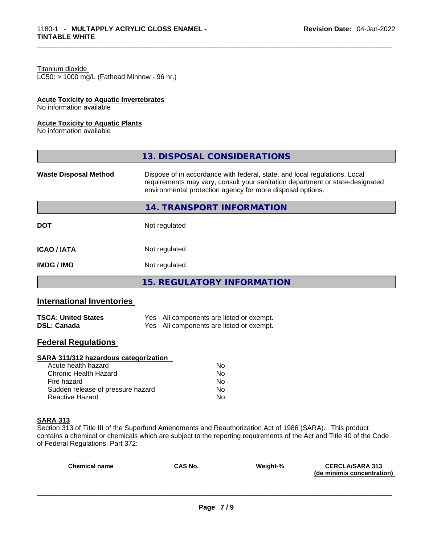#### Titanium dioxide

 $LC50:$  > 1000 mg/L (Fathead Minnow - 96 hr.)

#### **Acute Toxicity to Aquatic Invertebrates**

No information available

#### **Acute Toxicity to Aquatic Plants**

No information available

|                              | 13. DISPOSAL CONSIDERATIONS                                                                                                                                                                                               |
|------------------------------|---------------------------------------------------------------------------------------------------------------------------------------------------------------------------------------------------------------------------|
| <b>Waste Disposal Method</b> | Dispose of in accordance with federal, state, and local regulations. Local<br>requirements may vary, consult your sanitation department or state-designated<br>environmental protection agency for more disposal options. |
|                              | 14. TRANSPORT INFORMATION                                                                                                                                                                                                 |
| <b>DOT</b>                   | Not regulated                                                                                                                                                                                                             |
| <b>ICAO/IATA</b>             | Not regulated                                                                                                                                                                                                             |
| <b>IMDG/IMO</b>              | Not regulated                                                                                                                                                                                                             |
|                              | <b>15. REGULATORY INFORMATION</b>                                                                                                                                                                                         |

# **International Inventories**

| <b>TSCA: United States</b> | Yes - All components are listed or exempt. |
|----------------------------|--------------------------------------------|
| <b>DSL: Canada</b>         | Yes - All components are listed or exempt. |

# **Federal Regulations**

#### **SARA 311/312 hazardous categorization**

| Acute health hazard               | No |
|-----------------------------------|----|
| Chronic Health Hazard             | No |
| Fire hazard                       | Nο |
| Sudden release of pressure hazard | Nο |
| Reactive Hazard                   | N∩ |

#### **SARA 313**

Section 313 of Title III of the Superfund Amendments and Reauthorization Act of 1986 (SARA). This product contains a chemical or chemicals which are subject to the reporting requirements of the Act and Title 40 of the Code of Federal Regulations, Part 372:

| <b>Chemical name</b> | <b>CAS No.</b> | Weight-% | <b>CERCLA/SARA 313</b>     |
|----------------------|----------------|----------|----------------------------|
|                      |                |          | (de minimis concentration) |
|                      |                |          |                            |
|                      |                |          |                            |
|                      |                |          |                            |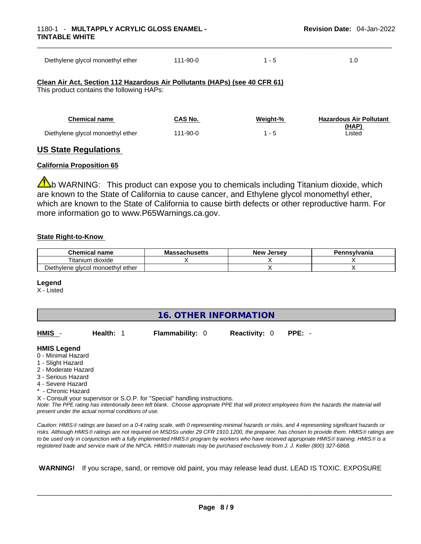| Diethylene glycol monoethyl ether                                                                                       | $111 - 90 - 0$ | $1 - 5$ | 1.0 |  |  |
|-------------------------------------------------------------------------------------------------------------------------|----------------|---------|-----|--|--|
| Clean Air Act, Section 112 Hazardous Air Pollutants (HAPs) (see 40 CFR 61)<br>This product contains the following HAPs: |                |         |     |  |  |

| <b>Chemical name</b>              | CAS No.  | Weight-% | <b>Hazardous Air Pollutant</b> |
|-----------------------------------|----------|----------|--------------------------------|
|                                   |          |          | (HAP)                          |
| Diethylene glycol monoethyl ether | 111-90-0 | - 5      | Listed                         |

## **US State Regulations**

#### **California Proposition 65**

 $\Lambda$ b WARNING: This product can expose you to chemicals including Titanium dioxide, which are known to the State of California to cause cancer, and Ethylene glycol monomethyl ether, which are known to the State of California to cause birth defects or other reproductive harm. For more information go to www.P65Warnings.ca.gov.

#### **State Right-to-Know**

| <b>Chemical</b><br>name           | ำ≏husetts | New<br><b>Jersev</b> | Pennsylvania |
|-----------------------------------|-----------|----------------------|--------------|
| . dioxide<br>' itanium            |           |                      |              |
| Diethylene glycol monoethyl ether |           |                      |              |

#### **Legend**

X - Listed

| HMIS -              | Health: 1                                          | <b>Flammability: 0</b>                                                     | <b>Reactivity: 0</b> | $PPE: -$                                                                                                                                                                        |
|---------------------|----------------------------------------------------|----------------------------------------------------------------------------|----------------------|---------------------------------------------------------------------------------------------------------------------------------------------------------------------------------|
| <b>HMIS Legend</b>  |                                                    |                                                                            |                      |                                                                                                                                                                                 |
| 0 - Minimal Hazard  |                                                    |                                                                            |                      |                                                                                                                                                                                 |
| 1 - Slight Hazard   |                                                    |                                                                            |                      |                                                                                                                                                                                 |
| 2 - Moderate Hazard |                                                    |                                                                            |                      |                                                                                                                                                                                 |
| 3 - Serious Hazard  |                                                    |                                                                            |                      |                                                                                                                                                                                 |
| 4 - Severe Hazard   |                                                    |                                                                            |                      |                                                                                                                                                                                 |
| * - Chronic Hazard  |                                                    |                                                                            |                      |                                                                                                                                                                                 |
|                     |                                                    | X - Consult your supervisor or S.O.P. for "Special" handling instructions. |                      |                                                                                                                                                                                 |
|                     | present under the actual normal conditions of use. |                                                                            |                      | Note: The PPE rating has intentionally been left blank. Choose appropriate PPE that will protect employees from the hazards the material will                                   |
|                     |                                                    |                                                                            |                      | $C_{\alpha}$ is a limit $\alpha$ rations are because as $\alpha$ denting scale, with $\alpha$ representing minimal because are rights and department in significant because are |

*Caution: HMISÒ ratings are based on a 0-4 rating scale, with 0 representing minimal hazards or risks, and 4 representing significant hazards or risks. Although HMISÒ ratings are not required on MSDSs under 29 CFR 1910.1200, the preparer, has chosen to provide them. HMISÒ ratings are to be used only in conjunction with a fully implemented HMISÒ program by workers who have received appropriate HMISÒ training. HMISÒ is a registered trade and service mark of the NPCA. HMISÒ materials may be purchased exclusively from J. J. Keller (800) 327-6868.* 

 **WARNING!** If you scrape, sand, or remove old paint, you may release lead dust. LEAD IS TOXIC. EXPOSURE